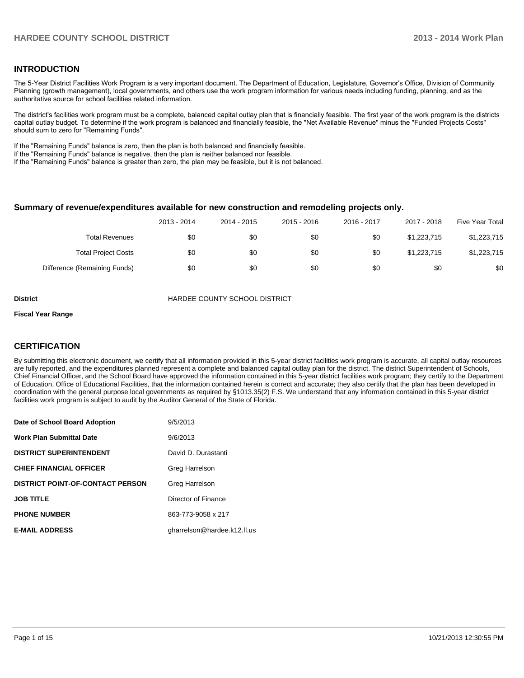#### **INTRODUCTION**

The 5-Year District Facilities Work Program is a very important document. The Department of Education, Legislature, Governor's Office, Division of Community Planning (growth management), local governments, and others use the work program information for various needs including funding, planning, and as the authoritative source for school facilities related information.

The district's facilities work program must be a complete, balanced capital outlay plan that is financially feasible. The first year of the work program is the districts capital outlay budget. To determine if the work program is balanced and financially feasible, the "Net Available Revenue" minus the "Funded Projects Costs" should sum to zero for "Remaining Funds".

If the "Remaining Funds" balance is zero, then the plan is both balanced and financially feasible.

If the "Remaining Funds" balance is negative, then the plan is neither balanced nor feasible.

If the "Remaining Funds" balance is greater than zero, the plan may be feasible, but it is not balanced.

#### **Summary of revenue/expenditures available for new construction and remodeling projects only.**

|                              | 2013 - 2014 | 2014 - 2015 | $2015 - 2016$ | 2016 - 2017 | 2017 - 2018 | Five Year Total |
|------------------------------|-------------|-------------|---------------|-------------|-------------|-----------------|
| <b>Total Revenues</b>        | \$0         | \$0         | \$0           | \$0         | \$1.223.715 | \$1,223,715     |
| <b>Total Project Costs</b>   | \$0         | \$0         | \$0           | \$0         | \$1,223,715 | \$1,223,715     |
| Difference (Remaining Funds) | \$0         | \$0         | \$0           | \$0         | \$0         | \$0             |

**District COUNTY SCHOOL DISTRICT** 

#### **Fiscal Year Range**

#### **CERTIFICATION**

By submitting this electronic document, we certify that all information provided in this 5-year district facilities work program is accurate, all capital outlay resources are fully reported, and the expenditures planned represent a complete and balanced capital outlay plan for the district. The district Superintendent of Schools, Chief Financial Officer, and the School Board have approved the information contained in this 5-year district facilities work program; they certify to the Department of Education, Office of Educational Facilities, that the information contained herein is correct and accurate; they also certify that the plan has been developed in coordination with the general purpose local governments as required by §1013.35(2) F.S. We understand that any information contained in this 5-year district facilities work program is subject to audit by the Auditor General of the State of Florida.

| Date of School Board Adoption           | 9/5/2013                    |
|-----------------------------------------|-----------------------------|
| <b>Work Plan Submittal Date</b>         | 9/6/2013                    |
| <b>DISTRICT SUPERINTENDENT</b>          | David D. Durastanti         |
| <b>CHIEF FINANCIAL OFFICER</b>          | Greg Harrelson              |
| <b>DISTRICT POINT-OF-CONTACT PERSON</b> | Greg Harrelson              |
| <b>JOB TITLE</b>                        | Director of Finance         |
| <b>PHONE NUMBER</b>                     | 863-773-9058 x 217          |
| <b>E-MAIL ADDRESS</b>                   | gharrelson@hardee.k12.fl.us |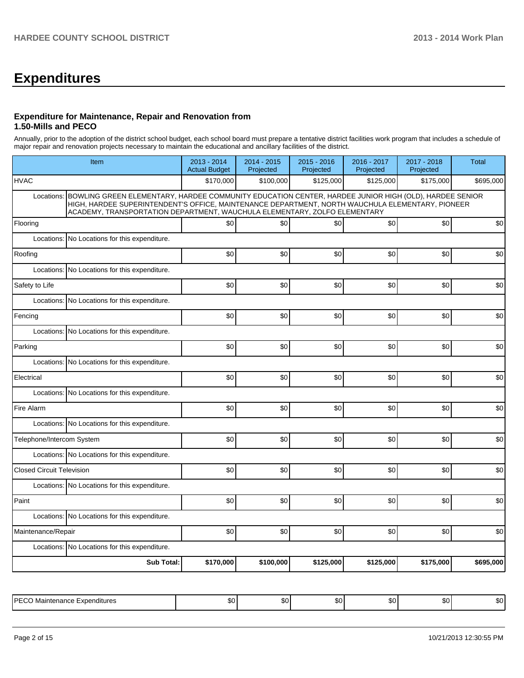# **Expenditures**

#### **Expenditure for Maintenance, Repair and Renovation from 1.50-Mills and PECO**

Annually, prior to the adoption of the district school budget, each school board must prepare a tentative district facilities work program that includes a schedule of major repair and renovation projects necessary to maintain the educational and ancillary facilities of the district.

| Item                                                                                                                                                                                                                                                                                                | 2013 - 2014<br><b>Actual Budget</b> | $2014 - 2015$<br>Projected | 2015 - 2016<br>Projected | 2016 - 2017<br>Projected | 2017 - 2018<br>Projected | <b>Total</b> |
|-----------------------------------------------------------------------------------------------------------------------------------------------------------------------------------------------------------------------------------------------------------------------------------------------------|-------------------------------------|----------------------------|--------------------------|--------------------------|--------------------------|--------------|
| <b>HVAC</b>                                                                                                                                                                                                                                                                                         | \$170,000                           | \$100,000                  | \$125,000                | \$125,000                | \$175,000                | \$695,000    |
| BOWLING GREEN ELEMENTARY, HARDEE COMMUNITY EDUCATION CENTER, HARDEE JUNIOR HIGH (OLD), HARDEE SENIOR<br>Locations:<br>HIGH, HARDEE SUPERINTENDENT'S OFFICE, MAINTENANCE DEPARTMENT, NORTH WAUCHULA ELEMENTARY, PIONEER<br>ACADEMY, TRANSPORTATION DEPARTMENT, WAUCHULA ELEMENTARY, ZOLFO ELEMENTARY |                                     |                            |                          |                          |                          |              |
| Flooring                                                                                                                                                                                                                                                                                            | \$0                                 | \$0                        | \$0                      | \$0                      | \$0                      | \$0          |
| Locations: No Locations for this expenditure.                                                                                                                                                                                                                                                       |                                     |                            |                          |                          |                          |              |
| Roofing                                                                                                                                                                                                                                                                                             | \$0                                 | \$0                        | \$0                      | \$0                      | \$0                      | \$0          |
| No Locations for this expenditure.<br>Locations:                                                                                                                                                                                                                                                    |                                     |                            |                          |                          |                          |              |
| Safety to Life                                                                                                                                                                                                                                                                                      | \$0                                 | \$0                        | \$0                      | \$0                      | \$0                      | \$0          |
| Locations:<br>No Locations for this expenditure.                                                                                                                                                                                                                                                    |                                     |                            |                          |                          |                          |              |
| Fencing                                                                                                                                                                                                                                                                                             | \$0                                 | \$0                        | \$0                      | \$0                      | \$0                      | \$0          |
| Locations: No Locations for this expenditure.                                                                                                                                                                                                                                                       |                                     |                            |                          |                          |                          |              |
| Parking                                                                                                                                                                                                                                                                                             | \$0                                 | \$0                        | \$0                      | \$0                      | \$0                      | \$0          |
| Locations: No Locations for this expenditure.                                                                                                                                                                                                                                                       |                                     |                            |                          |                          |                          |              |
| Electrical                                                                                                                                                                                                                                                                                          | \$0                                 | \$0                        | \$0                      | \$0                      | \$0                      | \$0          |
| Locations: No Locations for this expenditure.                                                                                                                                                                                                                                                       |                                     |                            |                          |                          |                          |              |
| Fire Alarm                                                                                                                                                                                                                                                                                          | \$0                                 | \$0                        | \$0                      | \$0                      | \$0                      | \$0          |
| Locations: No Locations for this expenditure.                                                                                                                                                                                                                                                       |                                     |                            |                          |                          |                          |              |
| Telephone/Intercom System                                                                                                                                                                                                                                                                           | \$0                                 | \$0                        | \$0                      | \$0                      | \$0                      | \$0          |
| Locations: No Locations for this expenditure.                                                                                                                                                                                                                                                       |                                     |                            |                          |                          |                          |              |
| <b>Closed Circuit Television</b>                                                                                                                                                                                                                                                                    | \$0                                 | \$0                        | \$0                      | \$0                      | \$0                      | \$0          |
| Locations: No Locations for this expenditure.                                                                                                                                                                                                                                                       |                                     |                            |                          |                          |                          |              |
| Paint                                                                                                                                                                                                                                                                                               | \$0                                 | \$0                        | \$0                      | \$0                      | \$0                      | \$0          |
| Locations: No Locations for this expenditure.                                                                                                                                                                                                                                                       |                                     |                            |                          |                          |                          |              |
| Maintenance/Repair                                                                                                                                                                                                                                                                                  | \$0                                 | \$0                        | \$0                      | \$0                      | \$0                      | \$0          |
| Locations: No Locations for this expenditure.                                                                                                                                                                                                                                                       |                                     |                            |                          |                          |                          |              |
| <b>Sub Total:</b>                                                                                                                                                                                                                                                                                   | \$170,000                           | \$100,000                  | \$125,000                | \$125,000                | \$175,000                | \$695,000    |

| ∟PF ∩<br>Expenditures<br><br>vidil<br>iltik<br>טוויי | .,<br>- JU - | $\sim$<br> | $\sim$<br>JU. | . .<br>.DU | ┅<br>. | m ^<br>w |
|------------------------------------------------------|--------------|------------|---------------|------------|--------|----------|
|------------------------------------------------------|--------------|------------|---------------|------------|--------|----------|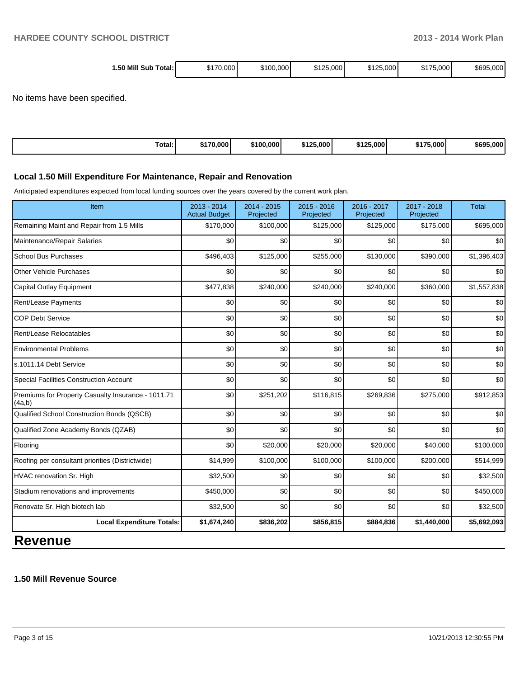| 1.50 Mill Sub<br>Total: I | \$170.000 l | \$100,000 | \$125,000 | \$125,000 | \$175,000 | \$695,000 |
|---------------------------|-------------|-----------|-----------|-----------|-----------|-----------|
|                           |             |           |           |           | - 301 1   |           |

No items have been specified.

| Total: | \$170,000 | \$100,000 | \$125,000 | ホィヘビ<br>\$125,000 | <b>¢475</b><br>'175.000, | \$695,000 |
|--------|-----------|-----------|-----------|-------------------|--------------------------|-----------|
|--------|-----------|-----------|-----------|-------------------|--------------------------|-----------|

#### **Local 1.50 Mill Expenditure For Maintenance, Repair and Renovation**

Anticipated expenditures expected from local funding sources over the years covered by the current work plan.

| Item                                                         | 2013 - 2014<br><b>Actual Budget</b> | 2014 - 2015<br>Projected | $2015 - 2016$<br>Projected | 2016 - 2017<br>Projected | 2017 - 2018<br>Projected | <b>Total</b> |
|--------------------------------------------------------------|-------------------------------------|--------------------------|----------------------------|--------------------------|--------------------------|--------------|
| Remaining Maint and Repair from 1.5 Mills                    | \$170,000                           | \$100,000                | \$125,000                  | \$125,000                | \$175,000                | \$695,000    |
| Maintenance/Repair Salaries                                  | \$0                                 | \$0                      | \$0                        | \$0                      | \$0                      | \$0          |
| <b>School Bus Purchases</b>                                  | \$496,403                           | \$125,000                | \$255,000                  | \$130,000                | \$390,000                | \$1,396,403  |
| <b>Other Vehicle Purchases</b>                               | \$0                                 | \$0                      | \$0                        | \$0                      | \$0                      | \$0          |
| Capital Outlay Equipment                                     | \$477,838                           | \$240,000                | \$240,000                  | \$240,000                | \$360,000                | \$1,557,838  |
| Rent/Lease Payments                                          | \$0                                 | \$0                      | \$0                        | \$0                      | \$0                      | \$0          |
| <b>COP Debt Service</b>                                      | \$0                                 | \$0                      | \$0                        | \$0                      | \$0                      | \$0          |
| Rent/Lease Relocatables                                      | \$0                                 | \$0                      | \$0                        | \$0                      | \$0                      | \$0          |
| <b>Environmental Problems</b>                                | \$0                                 | \$0                      | \$0                        | \$0                      | \$0                      | \$0          |
| s.1011.14 Debt Service                                       | \$0                                 | \$0                      | \$0                        | \$0                      | \$0                      | \$0          |
| <b>Special Facilities Construction Account</b>               | \$0                                 | \$0                      | \$0                        | \$0                      | \$0                      | \$0          |
| Premiums for Property Casualty Insurance - 1011.71<br>(4a,b) | \$0                                 | \$251,202                | \$116,815                  | \$269,836                | \$275,000                | \$912,853    |
| Qualified School Construction Bonds (QSCB)                   | \$0                                 | \$0                      | \$0                        | \$0                      | \$0                      | \$0          |
| Qualified Zone Academy Bonds (QZAB)                          | \$0                                 | \$0                      | \$0                        | \$0                      | \$0                      | \$0          |
| Flooring                                                     | \$0                                 | \$20,000                 | \$20,000                   | \$20,000                 | \$40,000                 | \$100,000    |
| Roofing per consultant priorities (Districtwide)             | \$14,999                            | \$100,000                | \$100,000                  | \$100,000                | \$200,000                | \$514,999    |
| HVAC renovation Sr. High                                     | \$32,500                            | \$0                      | \$0                        | \$0                      | \$0                      | \$32,500     |
| Stadium renovations and improvements                         | \$450,000                           | \$0                      | \$0                        | \$0                      | \$0                      | \$450,000    |
| Renovate Sr. High biotech lab                                | \$32,500                            | \$0                      | \$0                        | \$0                      | \$0                      | \$32,500     |
| <b>Local Expenditure Totals:</b>                             | \$1,674,240                         | \$836,202                | \$856,815                  | \$884,836                | \$1,440,000              | \$5,692,093  |

### **Revenue**

#### **1.50 Mill Revenue Source**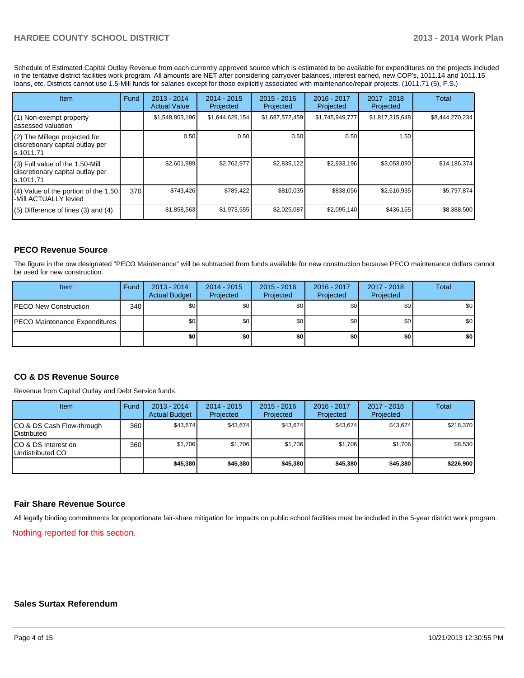Schedule of Estimated Capital Outlay Revenue from each currently approved source which is estimated to be available for expenditures on the projects included in the tentative district facilities work program. All amounts are NET after considering carryover balances, interest earned, new COP's, 1011.14 and 1011.15 loans, etc. Districts cannot use 1.5-Mill funds for salaries except for those explicitly associated with maintenance/repair projects. (1011.71 (5), F.S.)

| <b>Item</b>                                                                         | Fund | $2013 - 2014$<br><b>Actual Value</b> | $2014 - 2015$<br>Projected | $2015 - 2016$<br>Projected | $2016 - 2017$<br>Projected | $2017 - 2018$<br>Projected | Total           |
|-------------------------------------------------------------------------------------|------|--------------------------------------|----------------------------|----------------------------|----------------------------|----------------------------|-----------------|
| (1) Non-exempt property<br>lassessed valuation                                      |      | \$1,548,803,196                      | \$1,644,629,154            | \$1,687,572,459            | \$1,745,949,777            | \$1,817,315,648            | \$8,444,270,234 |
| $(2)$ The Millege projected for<br>discretionary capital outlay per<br>ls.1011.71   |      | 0.50                                 | 0.50                       | 0.50                       | 0.50                       | 1.50                       |                 |
| $(3)$ Full value of the 1.50-Mill<br>discretionary capital outlay per<br>ls.1011.71 |      | \$2,601,989                          | \$2.762.977                | \$2,835,122                | \$2,933,196                | \$3,053,090                | \$14,186,374    |
| $(4)$ Value of the portion of the 1.50<br>I-Mill ACTUALLY levied                    | 370  | \$743,426                            | \$789,422                  | \$810.035                  | \$838,056                  | \$2,616,935                | \$5,797,874     |
| $(5)$ Difference of lines (3) and (4)                                               |      | \$1,858,563                          | \$1,973,555                | \$2,025,087                | \$2,095,140                | \$436,155                  | \$8,388,500     |

#### **PECO Revenue Source**

The figure in the row designated "PECO Maintenance" will be subtracted from funds available for new construction because PECO maintenance dollars cannot be used for new construction.

| Item                                  | Fund | $2013 - 2014$<br><b>Actual Budget</b> | $2014 - 2015$<br>Projected | $2015 - 2016$<br>Projected | 2016 - 2017<br>Projected | 2017 - 2018<br>Projected | <b>Total</b> |
|---------------------------------------|------|---------------------------------------|----------------------------|----------------------------|--------------------------|--------------------------|--------------|
| <b>IPECO New Construction</b>         | 340  | \$0 <sub>1</sub>                      | \$0 <sub>1</sub>           | \$0                        | \$0 <sub>0</sub>         | \$0                      | \$0          |
| <b>IPECO Maintenance Expenditures</b> |      | \$0 <sub>1</sub>                      | \$0 <sub>1</sub>           | \$0                        | \$0                      | \$0 <sub>1</sub>         | \$0          |
|                                       |      | \$0                                   | \$0                        | \$0                        | \$0                      | \$0                      | \$0          |

#### **CO & DS Revenue Source**

Revenue from Capital Outlay and Debt Service funds.

| Item                                              | Fund | 2013 - 2014<br><b>Actual Budget</b> | $2014 - 2015$<br>Projected | $2015 - 2016$<br>Projected | $2016 - 2017$<br>Projected | $2017 - 2018$<br>Projected | Total     |
|---------------------------------------------------|------|-------------------------------------|----------------------------|----------------------------|----------------------------|----------------------------|-----------|
| CO & DS Cash Flow-through<br><b>I</b> Distributed | 360  | \$43.674                            | \$43.674                   | \$43.674                   | \$43.674                   | \$43,674                   | \$218,370 |
| ICO & DS Interest on<br>Undistributed CO          | 360  | \$1.706                             | \$1,706                    | \$1,706                    | \$1.706                    | \$1,706                    | \$8,530   |
|                                                   |      | \$45,380                            | \$45,380                   | \$45,380                   | \$45,380                   | \$45,380                   | \$226,900 |

#### **Fair Share Revenue Source**

All legally binding commitments for proportionate fair-share mitigation for impacts on public school facilities must be included in the 5-year district work program.

Nothing reported for this section.

#### **Sales Surtax Referendum**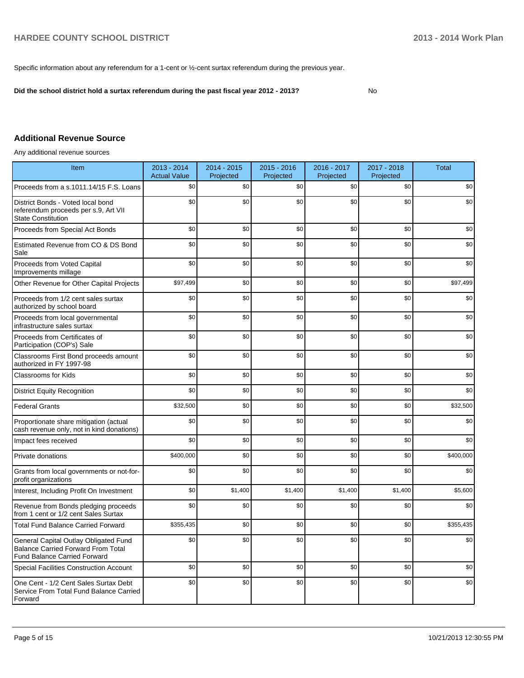Specific information about any referendum for a 1-cent or ½-cent surtax referendum during the previous year.

**Did the school district hold a surtax referendum during the past fiscal year 2012 - 2013?**

No

#### **Additional Revenue Source**

Any additional revenue sources

| Item                                                                                                                      | 2013 - 2014<br><b>Actual Value</b> | 2014 - 2015<br>Projected | $2015 - 2016$<br>Projected | 2016 - 2017<br>Projected | 2017 - 2018<br>Projected | <b>Total</b> |
|---------------------------------------------------------------------------------------------------------------------------|------------------------------------|--------------------------|----------------------------|--------------------------|--------------------------|--------------|
| Proceeds from a s.1011.14/15 F.S. Loans                                                                                   | \$0                                | \$0                      | \$0                        | \$0                      | \$0                      | \$0          |
| District Bonds - Voted local bond<br>referendum proceeds per s.9, Art VII<br><b>State Constitution</b>                    | \$0                                | \$0                      | \$0                        | \$0                      | \$0                      | \$0          |
| Proceeds from Special Act Bonds                                                                                           | \$0                                | \$0                      | \$0                        | \$0                      | \$0                      | \$0          |
| Estimated Revenue from CO & DS Bond<br>Sale                                                                               | \$0                                | \$0                      | \$0                        | \$0                      | \$0                      | \$0          |
| Proceeds from Voted Capital<br>Improvements millage                                                                       | \$0                                | \$0                      | \$0                        | \$0                      | \$0                      | \$0          |
| Other Revenue for Other Capital Projects                                                                                  | \$97,499                           | \$0                      | \$0                        | \$0                      | \$0                      | \$97,499     |
| Proceeds from 1/2 cent sales surtax<br>authorized by school board                                                         | \$0                                | \$0                      | \$0                        | \$0                      | \$0                      | \$0          |
| Proceeds from local governmental<br>infrastructure sales surtax                                                           | \$0                                | \$0                      | \$0                        | \$0                      | \$0                      | \$0          |
| Proceeds from Certificates of<br>Participation (COP's) Sale                                                               | \$0                                | \$0                      | \$0                        | \$0                      | \$0                      | \$0          |
| Classrooms First Bond proceeds amount<br>authorized in FY 1997-98                                                         | \$0                                | \$0                      | \$0                        | \$0                      | \$0                      | \$0          |
| Classrooms for Kids                                                                                                       | \$0                                | \$0                      | \$0                        | \$0                      | \$0                      | \$0          |
| <b>District Equity Recognition</b>                                                                                        | \$0                                | \$0                      | \$0                        | \$0                      | \$0                      | \$0          |
| <b>Federal Grants</b>                                                                                                     | \$32,500                           | \$0                      | \$0                        | \$0                      | \$0                      | \$32,500     |
| Proportionate share mitigation (actual<br>cash revenue only, not in kind donations)                                       | \$0                                | \$0                      | \$0                        | \$0                      | \$0                      | \$0          |
| Impact fees received                                                                                                      | \$0                                | \$0                      | \$0                        | \$0                      | \$0                      | \$0          |
| Private donations                                                                                                         | \$400,000                          | \$0                      | \$0                        | \$0                      | \$0                      | \$400,000    |
| Grants from local governments or not-for-<br>profit organizations                                                         | \$0                                | \$0                      | \$0                        | \$0                      | \$0                      | \$0          |
| Interest, Including Profit On Investment                                                                                  | \$0                                | \$1,400                  | \$1,400                    | \$1,400                  | \$1,400                  | \$5,600      |
| Revenue from Bonds pledging proceeds<br>from 1 cent or 1/2 cent Sales Surtax                                              | \$0                                | \$0                      | \$0                        | \$0                      | \$0                      | \$0          |
| <b>Total Fund Balance Carried Forward</b>                                                                                 | \$355,435                          | \$0                      | \$0                        | \$0                      | \$0                      | \$355.435    |
| General Capital Outlay Obligated Fund<br><b>Balance Carried Forward From Total</b><br><b>Fund Balance Carried Forward</b> | \$0                                | \$0                      | \$0                        | \$0                      | \$0                      | \$0          |
| <b>Special Facilities Construction Account</b>                                                                            | \$0                                | \$0                      | \$0                        | \$0                      | \$0                      | \$0          |
| One Cent - 1/2 Cent Sales Surtax Debt<br>Service From Total Fund Balance Carried<br>Forward                               | \$0                                | \$0                      | \$0                        | \$0                      | \$0                      | \$0          |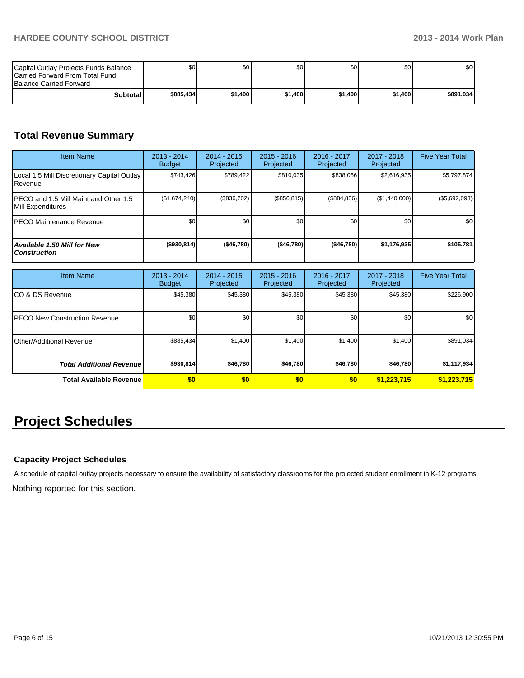| Capital Outlay Projects Funds Balance<br><b>ICarried Forward From Total Fund</b><br><b>Balance Carried Forward</b> | \$O I     | \$0     | \$0     | ا 30    | \$0     | \$0       |
|--------------------------------------------------------------------------------------------------------------------|-----------|---------|---------|---------|---------|-----------|
| Subtotal                                                                                                           | \$885.434 | \$1.400 | \$1.400 | \$1,400 | \$1,400 | \$891.034 |

### **Total Revenue Summary**

| <b>Item Name</b>                                           | 2013 - 2014<br><b>Budget</b> | $2014 - 2015$<br>Projected | $2015 - 2016$<br>Projected | $2016 - 2017$<br>Projected | $2017 - 2018$<br>Projected | <b>Five Year Total</b> |
|------------------------------------------------------------|------------------------------|----------------------------|----------------------------|----------------------------|----------------------------|------------------------|
| Local 1.5 Mill Discretionary Capital Outlay<br>l Revenue   | \$743,426                    | \$789,422                  | \$810,035                  | \$838,056                  | \$2,616,935                | \$5,797,874            |
| PECO and 1.5 Mill Maint and Other 1.5<br>Mill Expenditures | (\$1,674,240)                | (\$836,202)                | (\$856, 815)               | (\$884, 836)               | (\$1,440,000)              | (\$5,692,093)          |
| IPECO Maintenance Revenue                                  | \$0 <sub>1</sub>             | \$0                        | \$0                        | \$0                        | \$0                        | \$0 <sub>1</sub>       |
| Available 1.50 Mill for New<br><b>Construction</b>         | $($ \$930,814)               | ( \$46,780]                | ( \$46,780]                | ( \$46,780]                | \$1,176,935                | \$105,781              |

| <b>Item Name</b>                      | 2013 - 2014<br><b>Budget</b> | $2014 - 2015$<br>Projected | $2015 - 2016$<br>Projected | 2016 - 2017<br>Projected | 2017 - 2018<br>Projected | <b>Five Year Total</b> |
|---------------------------------------|------------------------------|----------------------------|----------------------------|--------------------------|--------------------------|------------------------|
| ICO & DS Revenue                      | \$45,380                     | \$45,380                   | \$45,380                   | \$45,380                 | \$45,380                 | \$226,900              |
| <b>IPECO New Construction Revenue</b> | \$0 <sub>1</sub>             | \$0                        | \$0                        | \$0                      | \$0                      | \$0                    |
| IOther/Additional Revenue             | \$885,434                    | \$1,400                    | \$1,400                    | \$1,400                  | \$1,400                  | \$891,034              |
| <b>Total Additional Revenuel</b>      | \$930,814                    | \$46,780                   | \$46,780                   | \$46,780                 | \$46,780                 | \$1,117,934            |
| <b>Total Available Revenue</b>        | \$0                          | \$0                        | \$0                        | \$0                      | \$1,223,715              | \$1,223,715            |

## **Project Schedules**

#### **Capacity Project Schedules**

A schedule of capital outlay projects necessary to ensure the availability of satisfactory classrooms for the projected student enrollment in K-12 programs.

Nothing reported for this section.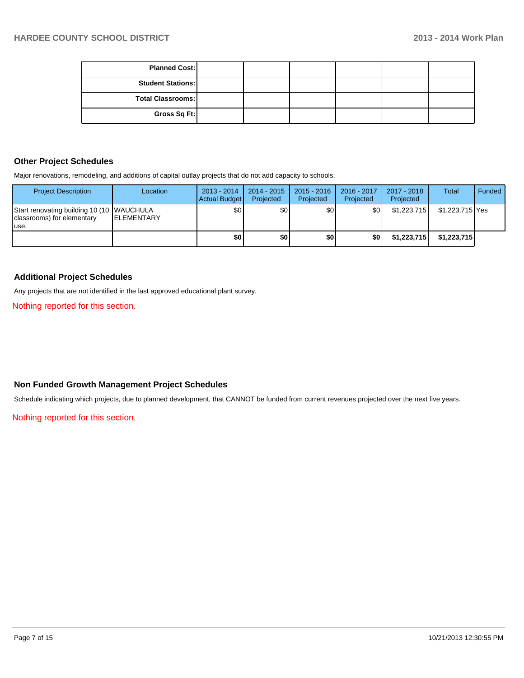| <b>Planned Cost:</b>     |  |  |  |
|--------------------------|--|--|--|
| <b>Student Stations:</b> |  |  |  |
| Total Classrooms:        |  |  |  |
| Gross Sq Ft:             |  |  |  |

#### **Other Project Schedules**

Major renovations, remodeling, and additions of capital outlay projects that do not add capacity to schools.

| <b>Project Description</b>                                                       | Location           | $2013 - 2014$<br>Actual Budget | 2014 - 2015<br>Projected | $2015 - 2016$<br>Projected | 2016 - 2017<br>Projected | 2017 - 2018<br>Projected | <b>Total</b>    | Funded |
|----------------------------------------------------------------------------------|--------------------|--------------------------------|--------------------------|----------------------------|--------------------------|--------------------------|-----------------|--------|
| Start renovating building 10 (10 WAUCHULA<br>classrooms) for elementary<br>luse. | <b>IELEMENTARY</b> | \$0 <sub>1</sub>               | \$0                      | \$0                        | \$0 I                    | \$1,223,715              | \$1,223,715 Yes |        |
|                                                                                  |                    | \$0                            | \$0                      | \$0                        | \$O I                    | \$1,223,715              | \$1,223,715     |        |

#### **Additional Project Schedules**

Any projects that are not identified in the last approved educational plant survey.

Nothing reported for this section.

#### **Non Funded Growth Management Project Schedules**

Schedule indicating which projects, due to planned development, that CANNOT be funded from current revenues projected over the next five years.

Nothing reported for this section.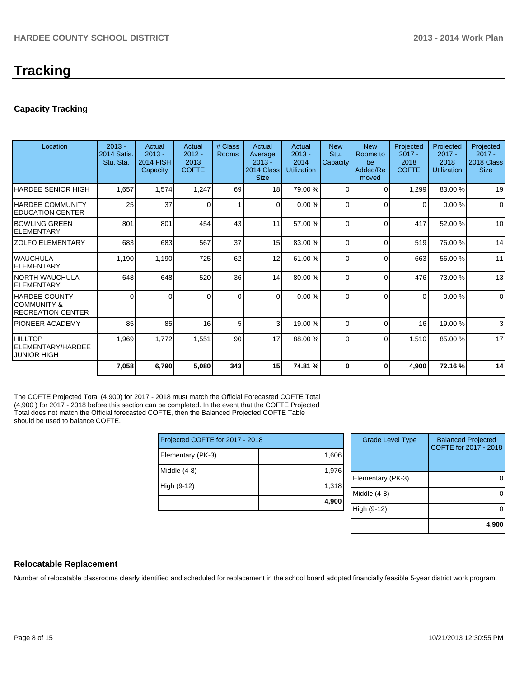## **Tracking**

#### **Capacity Tracking**

| Location                                                         | $2013 -$<br><b>2014 Satis.</b><br>Stu. Sta. | Actual<br>$2013 -$<br><b>2014 FISH</b><br>Capacity | Actual<br>$2012 -$<br>2013<br><b>COFTE</b> | # Class<br><b>Rooms</b> | Actual<br>Average<br>$2013 -$<br>2014 Class<br><b>Size</b> | Actual<br>$2013 -$<br>2014<br><b>Utilization</b> | <b>New</b><br>Stu.<br>Capacity | <b>New</b><br>Rooms to<br>be<br>Added/Re<br>moved | Projected<br>$2017 -$<br>2018<br><b>COFTE</b> | Projected<br>$2017 -$<br>2018<br><b>Utilization</b> | Projected<br>$2017 -$<br>2018 Class<br><b>Size</b> |
|------------------------------------------------------------------|---------------------------------------------|----------------------------------------------------|--------------------------------------------|-------------------------|------------------------------------------------------------|--------------------------------------------------|--------------------------------|---------------------------------------------------|-----------------------------------------------|-----------------------------------------------------|----------------------------------------------------|
| HARDEE SENIOR HIGH                                               | 1,657                                       | 1,574                                              | 1,247                                      | 69                      | 18                                                         | 79.00 %                                          | $\Omega$                       | $\Omega$                                          | 1,299                                         | 83.00 %                                             | 19                                                 |
| IHARDEE COMMUNITY<br><b>EDUCATION CENTER</b>                     | 25                                          | 37                                                 | $\Omega$                                   | 1                       | $\Omega$                                                   | 0.00%                                            | $\Omega$                       | $\Omega$                                          | 0                                             | 0.00%                                               | $\Omega$                                           |
| <b>IBOWLING GREEN</b><br>IELEMENTARY                             | 801                                         | 801                                                | 454                                        | 43                      | 11                                                         | 57.00 %                                          | 0                              | $\Omega$                                          | 417                                           | 52.00 %                                             | 10                                                 |
| IZOLFO ELEMENTARY                                                | 683                                         | 683                                                | 567                                        | 37                      | 15                                                         | 83.00 %                                          | U                              | $\Omega$                                          | 519                                           | 76.00 %                                             | 14                                                 |
| IWAUCHULA<br><b>IELEMENTARY</b>                                  | 1,190                                       | 1,190                                              | 725                                        | 62                      | 12                                                         | 61.00 %                                          | $\Omega$                       | $\Omega$                                          | 663                                           | 56.00 %                                             | 11                                                 |
| INORTH WAUCHULA<br>IELEMENTARY                                   | 648                                         | 648                                                | 520                                        | 36                      | 14                                                         | 80.00 %                                          | $\Omega$                       | $\Omega$                                          | 476                                           | 73.00 %                                             | 13                                                 |
| <b>HARDEE COUNTY</b><br>ICOMMUNITY &<br><b>RECREATION CENTER</b> | $\Omega$                                    | 0                                                  | O                                          | $\Omega$                | $\Omega$                                                   | 0.00%                                            | $\Omega$                       | $\Omega$                                          | $\Omega$                                      | 0.00%                                               | $\mathbf 0$                                        |
| IPIONEER ACADEMY                                                 | 85                                          | 85                                                 | 16                                         | 5                       | $\mathbf{3}$                                               | 19.00 %                                          | U                              | $\Omega$                                          | 16                                            | 19.00 %                                             | 3                                                  |
| HILLTOP<br>ELEMENTARY/HARDEE<br><b>JUNIOR HIGH</b>               | 1,969                                       | 1,772                                              | 1,551                                      | 90 <sup>°</sup>         | 17                                                         | 88.00 %                                          | $\Omega$                       | $\Omega$                                          | 1,510                                         | 85.00 %                                             | 17                                                 |
|                                                                  | 7,058                                       | 6,790                                              | 5,080                                      | 343                     | 15                                                         | 74.81 %                                          | 0                              | 0                                                 | 4,900                                         | 72.16%                                              | 14                                                 |

The COFTE Projected Total (4,900) for 2017 - 2018 must match the Official Forecasted COFTE Total (4,900 ) for 2017 - 2018 before this section can be completed. In the event that the COFTE Projected Total does not match the Official forecasted COFTE, then the Balanced Projected COFTE Table should be used to balance COFTE.

| Projected COFTE for 2017 - 2018 |       |  |  |  |
|---------------------------------|-------|--|--|--|
| Elementary (PK-3)               | 1,606 |  |  |  |
| Middle $(4-8)$                  | 1,976 |  |  |  |
| High (9-12)                     | 1,318 |  |  |  |
|                                 | 4,900 |  |  |  |

| <b>Grade Level Type</b> | <b>Balanced Projected</b><br>COFTE for 2017 - 2018 |
|-------------------------|----------------------------------------------------|
| Elementary (PK-3)       |                                                    |
| Middle $(4-8)$          |                                                    |
| High (9-12)             |                                                    |
|                         | 4,90 <sub>v</sub>                                  |

#### **Relocatable Replacement**

Number of relocatable classrooms clearly identified and scheduled for replacement in the school board adopted financially feasible 5-year district work program.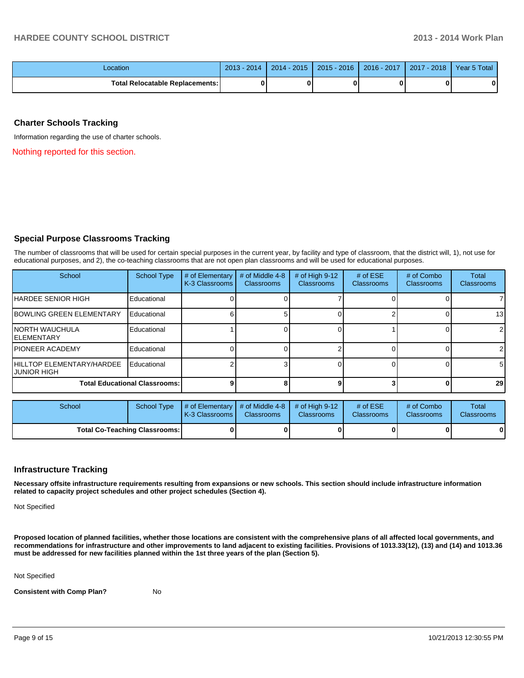| Location                                 | 2013<br>2014 | $2014 - 2015$ | $2015 - 2016$ | 2016 - 2017 | 2017<br>$-2018$ | Year 5 Total |
|------------------------------------------|--------------|---------------|---------------|-------------|-----------------|--------------|
| <b>Total Relocatable Replacements: I</b> | 0            |               | ŋ             |             |                 |              |

#### **Charter Schools Tracking**

Information regarding the use of charter schools.

Nothing reported for this section.

#### **Special Purpose Classrooms Tracking**

The number of classrooms that will be used for certain special purposes in the current year, by facility and type of classroom, that the district will, 1), not use for educational purposes, and 2), the co-teaching classrooms that are not open plan classrooms and will be used for educational purposes.

| School                                       | <b>School Type</b> | # of Elementary<br>K-3 Classrooms | # of Middle 4-8<br><b>Classrooms</b> | # of High $9-12$<br>Classrooms | # of $ESE$<br><b>Classrooms</b> | # of Combo<br><b>Classrooms</b> | Total<br>Classrooms |
|----------------------------------------------|--------------------|-----------------------------------|--------------------------------------|--------------------------------|---------------------------------|---------------------------------|---------------------|
| IHARDEE SENIOR HIGH                          | Educational        |                                   |                                      |                                |                                 |                                 |                     |
| <b>IBOWLING GREEN ELEMENTARY</b>             | Educational        |                                   |                                      |                                |                                 |                                 | 13                  |
| <b>INORTH WAUCHULA</b><br><b>IELEMENTARY</b> | Educational        |                                   |                                      |                                |                                 |                                 | $\overline{2}$      |
| <b>IPIONEER ACADEMY</b>                      | Educational        |                                   |                                      |                                |                                 |                                 | $\overline{2}$      |
| HILLTOP ELEMENTARY/HARDEE<br>IJUNIOR HIGH    | Educational        |                                   |                                      |                                |                                 |                                 | 5                   |
| <b>Total Educational Classrooms:</b>         |                    |                                   |                                      |                                |                                 | n                               | 29                  |

| School                               | School Type | $\parallel$ # of Elementary $\parallel$ # of Middle 4-8 $\parallel$ # of High 9-12<br><b>K-3 Classrooms L</b> | <b>Classrooms</b> | <b>Classrooms</b> | # of $ESE$<br><b>Classrooms</b> | # of Combo<br><b>Classrooms</b> | <b>Total</b><br><b>Classrooms</b> |
|--------------------------------------|-------------|---------------------------------------------------------------------------------------------------------------|-------------------|-------------------|---------------------------------|---------------------------------|-----------------------------------|
| <b>Total Co-Teaching Classrooms:</b> |             |                                                                                                               |                   |                   |                                 | 0                               | 0                                 |

#### **Infrastructure Tracking**

**Necessary offsite infrastructure requirements resulting from expansions or new schools. This section should include infrastructure information related to capacity project schedules and other project schedules (Section 4).**

Not Specified

**Proposed location of planned facilities, whether those locations are consistent with the comprehensive plans of all affected local governments, and recommendations for infrastructure and other improvements to land adjacent to existing facilities. Provisions of 1013.33(12), (13) and (14) and 1013.36 must be addressed for new facilities planned within the 1st three years of the plan (Section 5).**

Not Specified

**Consistent with Comp Plan?** No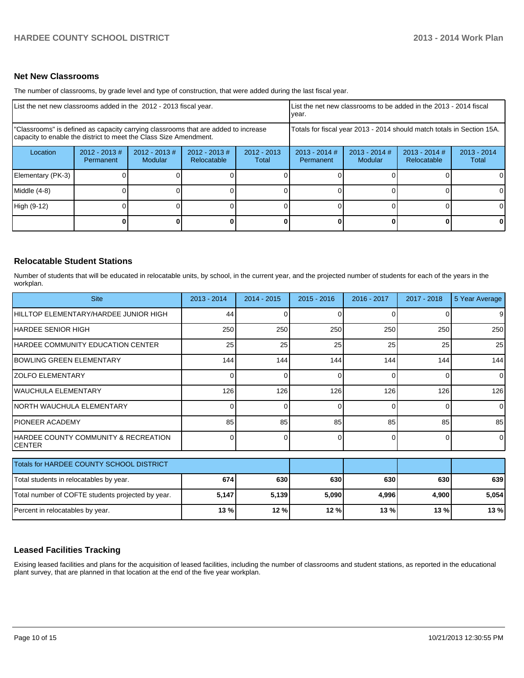#### **Net New Classrooms**

The number of classrooms, by grade level and type of construction, that were added during the last fiscal year.

| List the net new classrooms added in the 2012 - 2013 fiscal year.                                                                                       | List the net new classrooms to be added in the 2013 - 2014 fiscal<br>Ivear. |                            |                                |                        |                                                                        |                            |                                |                        |
|---------------------------------------------------------------------------------------------------------------------------------------------------------|-----------------------------------------------------------------------------|----------------------------|--------------------------------|------------------------|------------------------------------------------------------------------|----------------------------|--------------------------------|------------------------|
| "Classrooms" is defined as capacity carrying classrooms that are added to increase<br>capacity to enable the district to meet the Class Size Amendment. |                                                                             |                            |                                |                        | Totals for fiscal year 2013 - 2014 should match totals in Section 15A. |                            |                                |                        |
| Location                                                                                                                                                | $2012 - 2013$ #<br>Permanent                                                | $2012 - 2013$ #<br>Modular | $2012 - 2013$ #<br>Relocatable | $2012 - 2013$<br>Total | $2013 - 2014$ #<br>Permanent                                           | $2013 - 2014$ #<br>Modular | $2013 - 2014$ #<br>Relocatable | $2013 - 2014$<br>Total |
| Elementary (PK-3)                                                                                                                                       |                                                                             |                            |                                |                        |                                                                        |                            |                                | 0                      |
| Middle (4-8)                                                                                                                                            |                                                                             |                            |                                |                        |                                                                        |                            |                                | $\Omega$               |
| High (9-12)                                                                                                                                             |                                                                             |                            |                                |                        |                                                                        |                            |                                | $\Omega$               |
|                                                                                                                                                         |                                                                             |                            |                                |                        |                                                                        |                            | <sup>0</sup>                   | $\mathbf{0}$           |

#### **Relocatable Student Stations**

Number of students that will be educated in relocatable units, by school, in the current year, and the projected number of students for each of the years in the workplan.

| <b>Site</b>                                            | 2013 - 2014 | $2014 - 2015$ | $2015 - 2016$ | 2016 - 2017 | $2017 - 2018$ | 5 Year Average |
|--------------------------------------------------------|-------------|---------------|---------------|-------------|---------------|----------------|
| HILLTOP ELEMENTARY/HARDEE JUNIOR HIGH                  | 44          |               |               |             |               | 9              |
| IHARDEE SENIOR HIGH                                    | 250         | 250           | 250           | 250         | 250           | 250            |
| IHARDEE COMMUNITY EDUCATION CENTER                     | 25          | 25            | 25            | 25          | 25            | 25             |
| IBOWLING GREEN ELEMENTARY                              | 144         | 144           | 144           | 144         | 144           | 144            |
| <b>ZOLFO ELEMENTARY</b>                                |             | ∩             | ŋ             | $\Omega$    | 0             | $\overline{0}$ |
| WAUCHULA ELEMENTARY                                    | 126         | 126           | 126           | 126         | 126           | 126            |
| <b>INORTH WAUCHULA ELEMENTARY</b>                      |             | ი             | 0             | $\Omega$    | 0             | $\Omega$       |
| <b>PIONEER ACADEMY</b>                                 | 85          | 85            | 85            | 85          | 85            | 85             |
| HARDEE COUNTY COMMUNITY & RECREATION<br><b>ICENTER</b> | 0           | U             | 0             | $\Omega$    | 0             | $\Omega$       |
| Totals for HARDEE COUNTY SCHOOL DISTRICT               |             |               |               |             |               |                |
|                                                        |             |               |               |             |               |                |
| Total students in relocatables by year.                | 674         | 630           | 630           | 630         | 630           | 639            |
| Total number of COFTE students projected by year.      | 5,147       | 5,139         | 5,090         | 4,996       | 4,900         | 5,054          |
| Percent in relocatables by year.                       | 13%         | 12 %          | 12%           | 13 %        | 13 %          | 13 %           |

#### **Leased Facilities Tracking**

Exising leased facilities and plans for the acquisition of leased facilities, including the number of classrooms and student stations, as reported in the educational plant survey, that are planned in that location at the end of the five year workplan.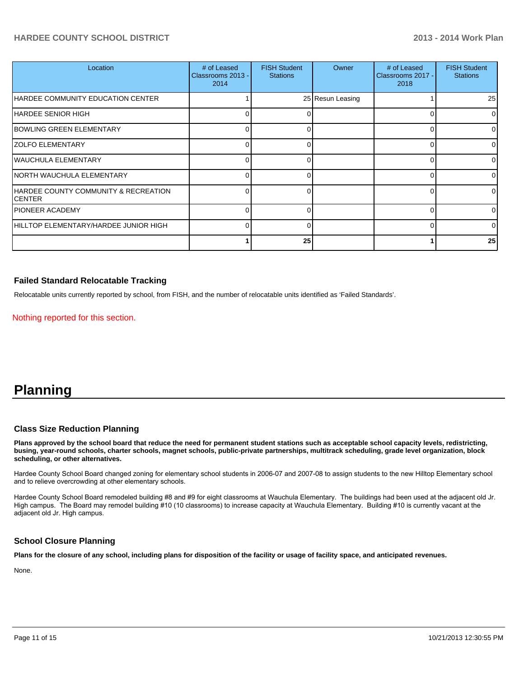#### **HARDEE COUNTY SCHOOL DISTRICT 2013 - 2014 Work Plan**

| Location                                        | # of Leased<br>Classrooms 2013 -<br>2014 | <b>FISH Student</b><br><b>Stations</b> | Owner            | # of Leased<br>Classrooms 2017 -<br>2018 | <b>FISH Student</b><br><b>Stations</b> |
|-------------------------------------------------|------------------------------------------|----------------------------------------|------------------|------------------------------------------|----------------------------------------|
| HARDEE COMMUNITY EDUCATION CENTER               |                                          |                                        | 25 Resun Leasing |                                          | 25                                     |
| IHARDEE SENIOR HIGH                             |                                          |                                        |                  |                                          | $\Omega$                               |
| BOWLING GREEN ELEMENTARY                        |                                          |                                        |                  |                                          | $\Omega$                               |
| <b>ZOLFO ELEMENTARY</b>                         |                                          |                                        |                  |                                          | 01                                     |
| WAUCHULA ELEMENTARY                             |                                          |                                        |                  |                                          | $\Omega$                               |
| NORTH WAUCHULA ELEMENTARY                       |                                          |                                        |                  |                                          | 01                                     |
| HARDEE COUNTY COMMUNITY & RECREATION<br>ICENTER |                                          |                                        |                  |                                          | 01                                     |
| IPIONEER ACADEMY                                |                                          |                                        |                  |                                          | $\Omega$                               |
| IHILLTOP ELEMENTARY/HARDEE JUNIOR HIGH          |                                          |                                        |                  |                                          | $\Omega$                               |
|                                                 |                                          | 25                                     |                  |                                          | 25                                     |

#### **Failed Standard Relocatable Tracking**

Relocatable units currently reported by school, from FISH, and the number of relocatable units identified as 'Failed Standards'.

Nothing reported for this section.

## **Planning**

#### **Class Size Reduction Planning**

**Plans approved by the school board that reduce the need for permanent student stations such as acceptable school capacity levels, redistricting, busing, year-round schools, charter schools, magnet schools, public-private partnerships, multitrack scheduling, grade level organization, block scheduling, or other alternatives.**

Hardee County School Board changed zoning for elementary school students in 2006-07 and 2007-08 to assign students to the new Hilltop Elementary school and to relieve overcrowding at other elementary schools.

Hardee County School Board remodeled building #8 and #9 for eight classrooms at Wauchula Elementary. The buildings had been used at the adiacent old Jr. High campus. The Board may remodel building #10 (10 classrooms) to increase capacity at Wauchula Elementary. Building #10 is currently vacant at the adjacent old Jr. High campus.

#### **School Closure Planning**

**Plans for the closure of any school, including plans for disposition of the facility or usage of facility space, and anticipated revenues.**

None.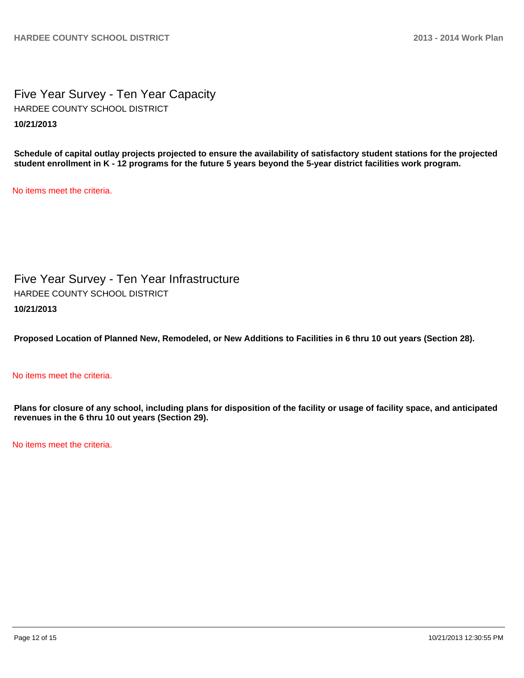Five Year Survey - Ten Year Capacity **10/21/2013** HARDEE COUNTY SCHOOL DISTRICT

**Schedule of capital outlay projects projected to ensure the availability of satisfactory student stations for the projected student enrollment in K - 12 programs for the future 5 years beyond the 5-year district facilities work program.**

No items meet the criteria.

Five Year Survey - Ten Year Infrastructure **10/21/2013** HARDEE COUNTY SCHOOL DISTRICT

**Proposed Location of Planned New, Remodeled, or New Additions to Facilities in 6 thru 10 out years (Section 28).**

#### No items meet the criteria.

**Plans for closure of any school, including plans for disposition of the facility or usage of facility space, and anticipated revenues in the 6 thru 10 out years (Section 29).**

No items meet the criteria.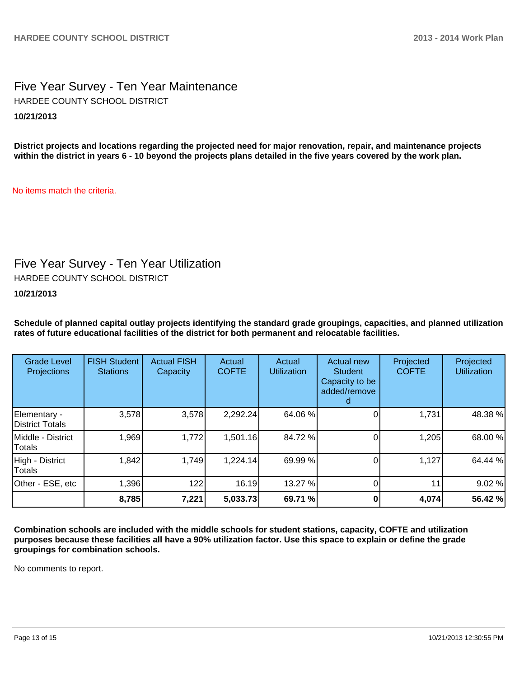### Five Year Survey - Ten Year Maintenance **10/21/2013** HARDEE COUNTY SCHOOL DISTRICT

**District projects and locations regarding the projected need for major renovation, repair, and maintenance projects within the district in years 6 - 10 beyond the projects plans detailed in the five years covered by the work plan.**

No items match the criteria.

## Five Year Survey - Ten Year Utilization

HARDEE COUNTY SCHOOL DISTRICT

**10/21/2013**

**Schedule of planned capital outlay projects identifying the standard grade groupings, capacities, and planned utilization rates of future educational facilities of the district for both permanent and relocatable facilities.**

| <b>Grade Level</b><br><b>Projections</b> | <b>FISH Student</b><br><b>Stations</b> | <b>Actual FISH</b><br>Capacity | Actual<br><b>COFTE</b> | Actual<br><b>Utilization</b> | Actual new<br><b>Student</b><br>Capacity to be<br>added/remove | Projected<br><b>COFTE</b> | Projected<br><b>Utilization</b> |
|------------------------------------------|----------------------------------------|--------------------------------|------------------------|------------------------------|----------------------------------------------------------------|---------------------------|---------------------------------|
| Elementary -<br>District Totals          | 3,578                                  | 3,578                          | 2,292.24               | 64.06 %                      |                                                                | 1,731                     | 48.38 %                         |
| Middle - District<br>Totals              | 1,969                                  | 1,772                          | 1,501.16               | 84.72 %                      |                                                                | 1,205                     | 68.00 %                         |
| High - District<br>Totals                | 1,842                                  | 1,749                          | 1,224.14               | 69.99 %                      |                                                                | 1,127                     | 64.44 %                         |
| Other - ESE, etc                         | 1,396                                  | 122                            | 16.19                  | 13.27 %                      |                                                                | 11                        | 9.02%                           |
|                                          | 8,785                                  | 7,221                          | 5,033.73               | 69.71 %                      |                                                                | 4,074                     | 56.42 %                         |

**Combination schools are included with the middle schools for student stations, capacity, COFTE and utilization purposes because these facilities all have a 90% utilization factor. Use this space to explain or define the grade groupings for combination schools.**

No comments to report.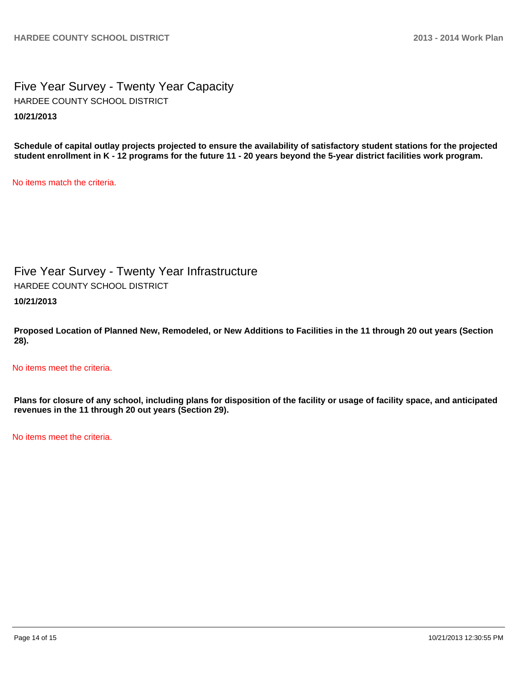Five Year Survey - Twenty Year Capacity **10/21/2013** HARDEE COUNTY SCHOOL DISTRICT

**Schedule of capital outlay projects projected to ensure the availability of satisfactory student stations for the projected student enrollment in K - 12 programs for the future 11 - 20 years beyond the 5-year district facilities work program.**

No items match the criteria.

Five Year Survey - Twenty Year Infrastructure **10/21/2013** HARDEE COUNTY SCHOOL DISTRICT

**Proposed Location of Planned New, Remodeled, or New Additions to Facilities in the 11 through 20 out years (Section 28).**

No items meet the criteria.

**Plans for closure of any school, including plans for disposition of the facility or usage of facility space, and anticipated revenues in the 11 through 20 out years (Section 29).**

No items meet the criteria.